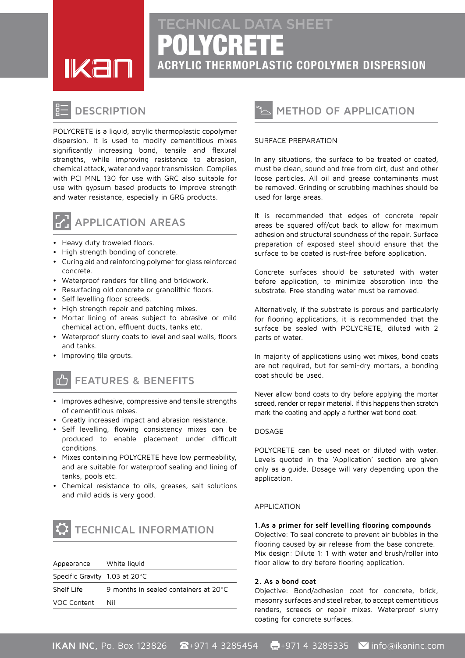POLYCRETE **ACRYLIC THERMOPLASTIC COPOLYMER DISPERSION** CHNICAL DATA SHEET



# **DESCRIPTION**

POLYCRETE is a liquid, acrylic thermoplastic copolymer dispersion. It is used to modify cementitious mixes significantly increasing bond, tensile and flexural strengths, while improving resistance to abrasion, chemical attack, water and vapor transmission. Complies with PCI MNL 130 for use with GRC also suitable for use with gypsum based products to improve strength and water resistance, especially in GRG products.



### **AREAS APPLICATION**

- Heavy duty troweled floors.
- High strength bonding of concrete.
- Curing aid and reinforcing polymer for glass reinforced .concrete
- Waterproof renders for tiling and brickwork.
- Resurfacing old concrete or granolithic floors.
- Self levelling floor screeds.
- High strength repair and patching mixes.
- Mortar lining of areas subject to abrasive or mild chemical action, effluent ducts, tanks etc.
- Waterproof slurry coats to level and seal walls, floors and tanks.
- Improving tile grouts.

# **FEATURES & BENEFITS**

- Improves adhesive, compressive and tensile strengths of cementitious mixes.
- Greatly increased impact and abrasion resistance.
- Self levelling, flowing consistency mixes can be produced to enable placement under difficult .conditions
- Mixes containing POLYCRETE have low permeability, and are suitable for waterproof sealing and lining of tanks, pools etc.
- Chemical resistance to oils, greases, salt solutions and mild acids is very good.



| Appearance                                 | White liquid                                    |
|--------------------------------------------|-------------------------------------------------|
| Specific Gravity $1.03$ at 20 $^{\circ}$ C |                                                 |
| Shelf Life                                 | 9 months in sealed containers at $20^{\circ}$ C |
| VOC Content                                | Nil                                             |
|                                            |                                                 |



#### SURFACE PREPARATION

In any situations, the surface to be treated or coated, must be clean, sound and free from dirt, dust and other loose particles. All oil and grease contaminants must be removed. Grinding or scrubbing machines should be used for large areas.

It is recommended that edges of concrete repair areas be squared off/cut back to allow for maximum adhesion and structural soundness of the repair. Surface preparation of exposed steel should ensure that the surface to be coated is rust-free before application.

Concrete surfaces should be saturated with water before application, to minimize absorption into the substrate. Free standing water must be removed.

Alternatively, if the substrate is porous and particularly for flooring applications, it is recommended that the surface be sealed with POLYCRETE, diluted with 2 parts of water.

In majority of applications using wet mixes, bond coats are not required, but for semi-dry mortars, a bonding coat should be used.

Never allow bond coats to dry before applying the mortar screed, render or repair material. If this happens then scratch mark the coating and apply a further wet bond coat.

#### DOSAGE

POLYCRETE can be used neat or diluted with water. Levels guoted in the 'Application' section are given only as a quide. Dosage will vary depending upon the .application

#### Application

**compounds flooring levelling self for primer a As1.** Objective: To seal concrete to prevent air bubbles in the flooring caused by air release from the base concrete.

Mix design: Dilute 1: 1 with water and brush/roller into floor allow to dry before flooring application.

#### **coat bond a As 2.**

Objective: Bond/adhesion coat for concrete, brick, masonry surfaces and steel rebar, to accept cementitious renders, screeds or repair mixes. Waterproof slurry coating for concrete surfaces.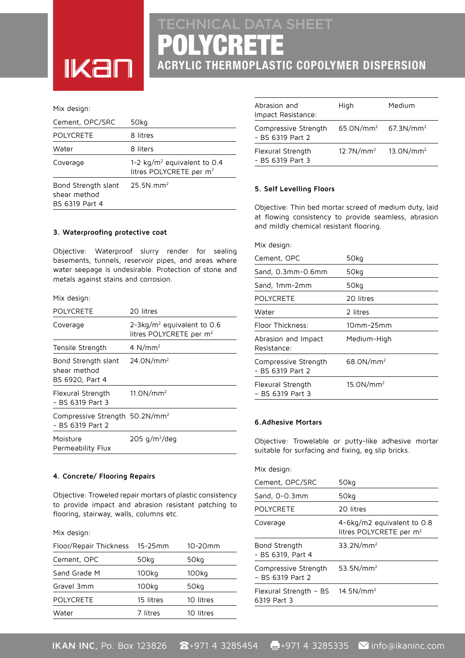# POLYCRETE **ACRYLIC THERMOPLASTIC COPOLYMER DISPERSION** CHNICAL DATA SHEET

#### Mix design:

**IKar** 

| Cement, OPC/SRC                                       | 50kg                                                                  |
|-------------------------------------------------------|-----------------------------------------------------------------------|
| <b>POLYCRETE</b>                                      | 8 litres                                                              |
| Water                                                 | 8 liters                                                              |
| Coverage                                              | 1-2 $kg/m^2$ equivalent to 0.4<br>litres POLYCRETE per m <sup>2</sup> |
| Bond Strength slant<br>shear method<br>BS 6319 Part 4 | $25.5N$ .mm <sup>2</sup>                                              |

#### **coat protective Waterproofing 3.**

Objective: Waterproof slurry render for sealing basements, tunnels, reservoir pipes, and areas where water seepage is undesirable. Protection of stone and metals against stains and corrosion.

#### Mix design:

| POLYCRETE                                                      | 20 litres                                                           |
|----------------------------------------------------------------|---------------------------------------------------------------------|
| Coverage                                                       | $2-3kg/m2$ equivalent to 0.6<br>litres POLYCRETE per m <sup>2</sup> |
| Tensile Strength                                               | 4 $N/mm2$                                                           |
| Bond Strength slant<br>shear method<br>BS 6920, Part 4         | 24.0N/mm <sup>2</sup>                                               |
| Flexural Strength<br>- BS 6319 Part 3                          | 11.0N/mm <sup>2</sup>                                               |
| Compressive Strength 50.2N/mm <sup>2</sup><br>- BS 6319 Part 2 |                                                                     |
| Moisture<br>Permeability Flux                                  | $205$ g/m <sup>2</sup> /deg                                         |

#### **4. Concrete/ Flooring Repairs**

Objective: Troweled repair mortars of plastic consistency to provide impact and abrasion resistant patching to flooring, stairway, walls, columns etc.

#### Mix design:

| Floor/Repair Thickness 15-25mm |           | $10 - 20$ mm |
|--------------------------------|-----------|--------------|
| Cement, OPC                    | 50kg      | 50kg         |
| Sand Grade M                   | 100kg     | 100kg        |
| Gravel 3mm                     | 100kg     | 50kg         |
| <b>POLYCRETE</b>               | 15 litres | 10 litres    |
| Water                          | 7 litres  | 10 litres    |
|                                |           |              |

| Abrasion and<br>Impact Resistance:       | High                               | Medium       |
|------------------------------------------|------------------------------------|--------------|
| Compressive Strength<br>- BS 6319 Part 2 | $65.0N/mm^2$ 67.3N/mm <sup>2</sup> |              |
| Flexural Strength<br>- BS 6319 Part 3    | 12.7N/mm <sup>2</sup>              | $13.0N/mm^2$ |

#### **5. Self Levelling Floors**

Objective: Thin bed mortar screed of medium duty, laid at flowing consistency to provide seamless, abrasion and mildly chemical resistant flooring.

#### Mix design:

| Cement, OPC                              | 50kg                  |
|------------------------------------------|-----------------------|
| Sand, 0.3mm-0.6mm                        | 50kg                  |
| Sand, 1mm-2mm                            | 50kg                  |
| <b>POLYCRETE</b>                         | 20 litres             |
| Water                                    | 2 litres              |
| Floor Thickness:                         | 10mm-25mm             |
| Abrasion and Impact<br>Resistance:       | Medium-High           |
| Compressive Strength<br>- BS 6319 Part 2 | 68.0N/mm <sup>2</sup> |
| Flexural Strength<br>- BS 6319 Part 3    | 15.0N/mm <sup>2</sup> |

#### **6.** Adhesive Mortars

Objective: Trowelable or putty-like adhesive mortar suitable for surfacing and fixing, eg slip bricks.

Mix design:

| 50kg                                                                |
|---------------------------------------------------------------------|
| 50kg                                                                |
| 20 litres                                                           |
| 4-6kg/m2 equivalent to $0.8$<br>litres POLYCRETE per m <sup>2</sup> |
| 33.2N/mm <sup>2</sup>                                               |
| 53.5N/mm <sup>2</sup>                                               |
| 14.5N/mm <sup>2</sup><br>Flexural Strength – BS                     |
|                                                                     |